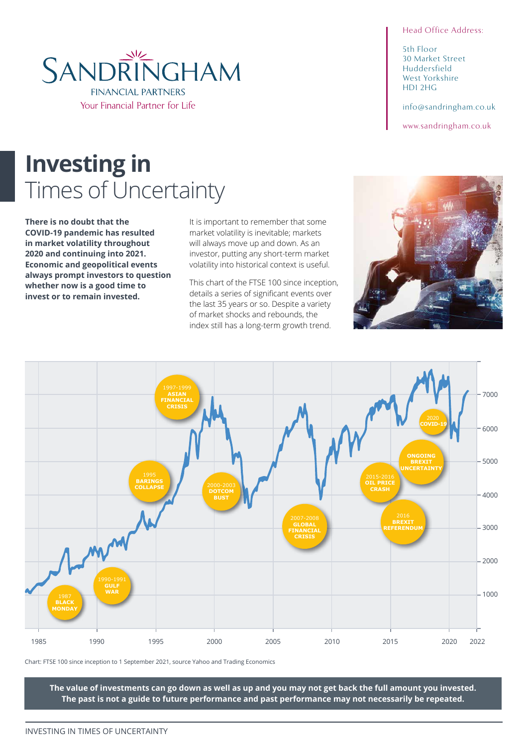#### Head Office Address:

5th Floor 30 Market Street Huddersfield West Yorkshire HD1 2HG

info@sandringham.co.uk

www.sandringham.co.uk

# **Investing in**  Times of Uncertainty

**There is no doubt that the COVID-19 pandemic has resulted in market volatility throughout 2020 and continuing into 2021. Economic and geopolitical events always prompt investors to question whether now is a good time to invest or to remain invested.**

It is important to remember that some market volatility is inevitable; markets will always move up and down. As an investor, putting any short-term market volatility into historical context is useful.

This chart of the FTSE 100 since inception, details a series of significant events over the last 35 years or so. Despite a variety of market shocks and rebounds, the index still has a long-term growth trend.



Chart: FTSE 100 since inception to 1 September 2021, source Yahoo and Trading Economics

**The value of investments can go down as well as up and you may not get back the full amount you invested. The past is not a guide to future performance and past performance may not necessarily be repeated.**